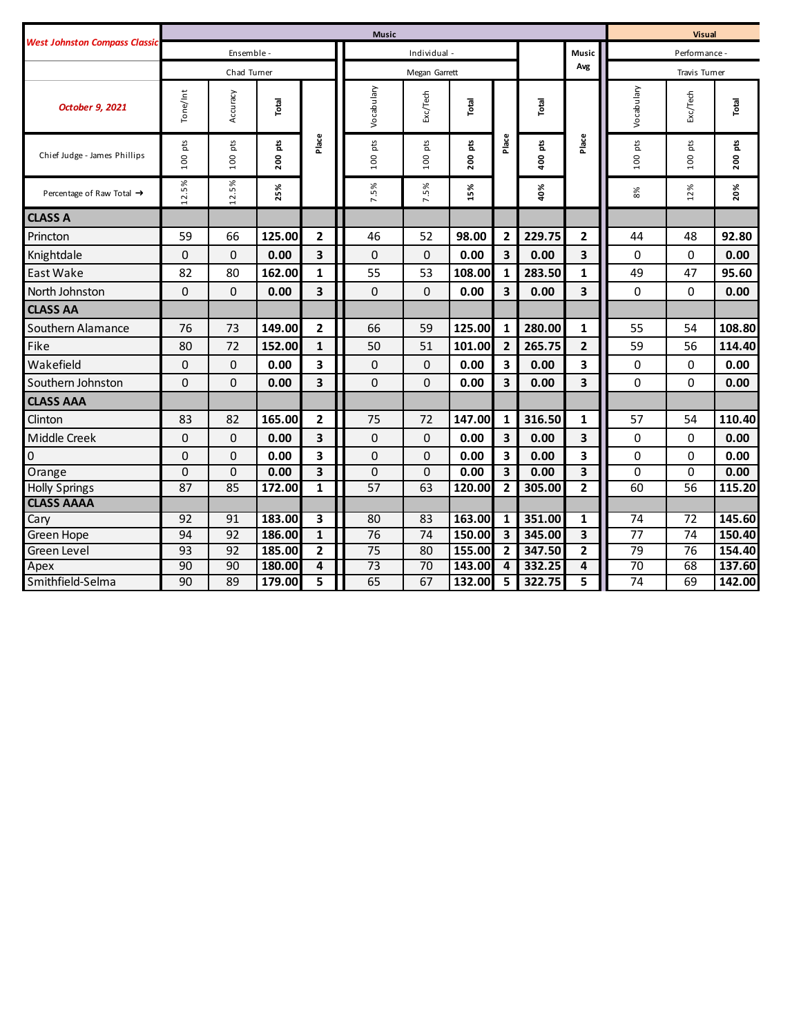|                                       | <b>Music</b>    |              |            |                         |                 |            |            |                         | <b>Visual</b> |                |               |                 |            |
|---------------------------------------|-----------------|--------------|------------|-------------------------|-----------------|------------|------------|-------------------------|---------------|----------------|---------------|-----------------|------------|
| <b>West Johnston Compass Classic</b>  | Ensemble -      |              |            |                         | Individual -    |            |            |                         |               | <b>Music</b>   | Performance - |                 |            |
|                                       | Chad Turner     |              |            |                         | Megan Garrett   |            |            |                         |               | Avg            | Travis Turner |                 |            |
| October 9, 2021                       | Tone/Int        | Accuracy     | Total      |                         | Vocabulary      | Exc/Tech   | Total      |                         | Total         |                | Vocabulary    | Exc/Tech        | Total      |
| Chief Judge - James Phillips          | pts<br>100      | pts<br>100   | pts<br>200 | Place                   | $100~\rm{pts}$  | pts<br>100 | pts<br>200 | Place                   | 400 pts       | Place          | pts<br>100    | pts<br>100      | pts<br>200 |
| Percentage of Raw Total $\rightarrow$ | .2.5%           | 12.5%        | 5%         |                         | 7.5%            | 7.5%       | 5%         |                         | 40%           |                | 8%            | 12%             | 20%        |
| <b>CLASS A</b>                        |                 |              |            |                         |                 |            |            |                         |               |                |               |                 |            |
| Princton                              | 59              | 66           | 125.00     | $\overline{2}$          | 46              | 52         | 98.00      | $\overline{2}$          | 229.75        | $\overline{2}$ | 44            | 48              | 92.80      |
| Knightdale                            | 0               | 0            | 0.00       | 3                       | $\mathbf 0$     | 0          | 0.00       | $\mathbf{3}$            | 0.00          | 3              | 0             | 0               | 0.00       |
| East Wake                             | 82              | 80           | 162.00     | $\mathbf{1}$            | 55              | 53         | 108.00     | $\mathbf{1}$            | 283.50        | 1              | 49            | 47              | 95.60      |
| North Johnston                        | 0               | 0            | 0.00       | 3                       | $\mathbf 0$     | 0          | 0.00       | 3                       | 0.00          | 3              | $\mathbf 0$   | 0               | 0.00       |
| <b>CLASS AA</b>                       |                 |              |            |                         |                 |            |            |                         |               |                |               |                 |            |
| Southern Alamance                     | 76              | 73           | 149.00     | $\mathbf{2}$            | 66              | 59         | 125.00     | $\mathbf{1}$            | 280.00        | $\mathbf{1}$   | 55            | 54              | 108.80     |
| Fike                                  | 80              | 72           | 152.00     | $\mathbf{1}$            | 50              | 51         | 101.00     | $\overline{2}$          | 265.75        | $\overline{2}$ | 59            | 56              | 114.40     |
| Wakefield                             | $\mathbf 0$     | $\mathbf{0}$ | 0.00       | 3                       | $\mathbf 0$     | 0          | 0.00       | 3                       | 0.00          | 3              | $\mathbf 0$   | 0               | 0.00       |
| Southern Johnston                     | $\mathbf 0$     | 0            | 0.00       | 3                       | $\overline{0}$  | 0          | 0.00       | $\overline{\mathbf{3}}$ | 0.00          | 3              | $\mathbf{0}$  | 0               | 0.00       |
| <b>CLASS AAA</b>                      |                 |              |            |                         |                 |            |            |                         |               |                |               |                 |            |
| Clinton                               | 83              | 82           | 165.00     | $\mathbf{2}$            | 75              | 72         | 147.00     | $\mathbf{1}$            | 316.50        | $\mathbf{1}$   | 57            | 54              | 110.40     |
| Middle Creek                          | 0               | $\mathbf{0}$ | 0.00       | 3                       | $\mathbf 0$     | 0          | 0.00       | 3                       | 0.00          | 3              | 0             | 0               | 0.00       |
| 0                                     | 0               | 0            | 0.00       | 3                       | 0               | 0          | 0.00       | 3                       | 0.00          | 3              | $\mathbf 0$   | 0               | 0.00       |
| Orange                                | $\mathbf 0$     | 0            | 0.00       | 3                       | $\mathbf 0$     | 0          | 0.00       | $\overline{\mathbf{3}}$ | 0.00          | 3              | $\mathbf 0$   | 0               | 0.00       |
| <b>Holly Springs</b>                  | $\overline{87}$ | 85           | 172.00     | $\mathbf{1}$            | $\overline{57}$ | 63         | 120.00     | $\overline{2}$          | 305.00        | $\mathbf{2}$   | 60            | $\overline{56}$ | 115.20     |
| <b>CLASS AAAA</b>                     |                 |              |            |                         |                 |            |            |                         |               |                |               |                 |            |
| Cary                                  | 92              | 91           | 183.00     | $\overline{\mathbf{3}}$ | 80              | 83         | 163.00     | 1                       | 351.00        | $\mathbf{1}$   | 74            | 72              | 145.60     |
| Green Hope                            | 94              | 92           | 186.00     | $\mathbf{1}$            | $\overline{76}$ | 74         | 150.00     | $\overline{\mathbf{3}}$ | 345.00        | 3              | 77            | $\overline{74}$ | 150.40     |
| Green Level                           | 93              | 92           | 185.00     | $\mathbf{2}$            | 75              | 80         | 155.00     | $\overline{2}$          | 347.50        | $\mathbf{2}$   | 79            | 76              | 154.40     |
| Apex                                  | 90              | 90           | 180.00     | 4                       | $\overline{73}$ | 70         | 143.00     | 4                       | 332.25        | 4              | 70            | 68              | 137.60     |
| Smithfield-Selma                      | 90              | 89           | 179.00     | 5                       | 65              | 67         | 132.00     | 5                       | 322.75        | 5              | 74            | 69              | 142.00     |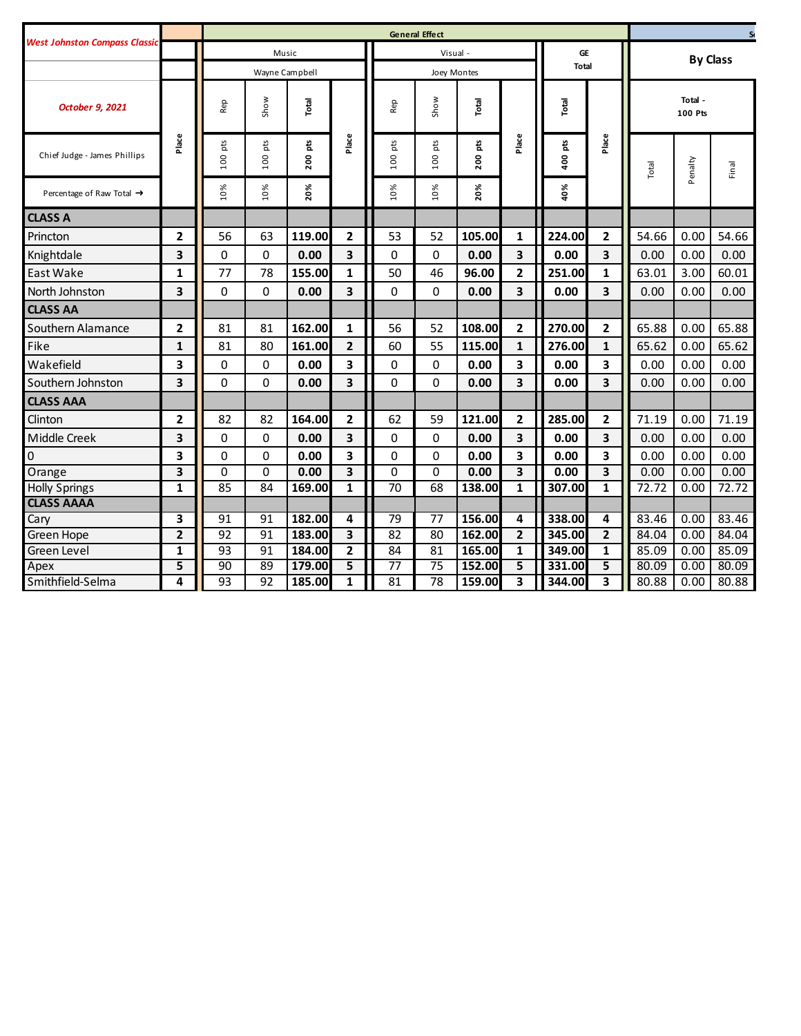| <b>West Johnston Compass Classic</b><br>Music<br>Visual -<br>GE<br><b>Total</b><br>Wayne Campbell<br>Joey Montes<br>Show<br>Show<br>Total<br>Total<br>Total<br>Rep<br>Rep<br>October 9, 2021<br>Place<br>Place<br>Place<br>Place<br>pts<br>pts<br>pts<br>pts<br>pts<br>400 pts<br>ę<br>Chief Judge - James Phillips<br>$\frac{8}{2}$<br>100<br>100<br>200<br>100<br>100<br>20%<br>10%<br>10%<br>20%<br>40%<br>10%<br>10%<br>Percentage of Raw Total $\rightarrow$<br><b>CLASS A</b><br>$\mathbf{2}$<br>2<br>$\mathbf{2}$<br>53<br>105.00<br>1<br>224.00<br>Princton<br>56<br>63<br>119.00<br>52<br>3<br>0<br>$\mathbf 0$<br>0.00<br>3<br>0<br>0<br>0.00<br>3<br>0.00<br>3<br>Knightdale | Total          | Total -<br><b>100 Pts</b> | <b>By Class</b> |
|-----------------------------------------------------------------------------------------------------------------------------------------------------------------------------------------------------------------------------------------------------------------------------------------------------------------------------------------------------------------------------------------------------------------------------------------------------------------------------------------------------------------------------------------------------------------------------------------------------------------------------------------------------------------------------------------|----------------|---------------------------|-----------------|
|                                                                                                                                                                                                                                                                                                                                                                                                                                                                                                                                                                                                                                                                                         |                |                           |                 |
|                                                                                                                                                                                                                                                                                                                                                                                                                                                                                                                                                                                                                                                                                         |                |                           |                 |
|                                                                                                                                                                                                                                                                                                                                                                                                                                                                                                                                                                                                                                                                                         |                |                           |                 |
|                                                                                                                                                                                                                                                                                                                                                                                                                                                                                                                                                                                                                                                                                         |                | enalty                    | Final           |
|                                                                                                                                                                                                                                                                                                                                                                                                                                                                                                                                                                                                                                                                                         |                | $\Omega$                  |                 |
|                                                                                                                                                                                                                                                                                                                                                                                                                                                                                                                                                                                                                                                                                         |                |                           |                 |
|                                                                                                                                                                                                                                                                                                                                                                                                                                                                                                                                                                                                                                                                                         | 54.66          | 0.00                      | 54.66           |
|                                                                                                                                                                                                                                                                                                                                                                                                                                                                                                                                                                                                                                                                                         | 0.00           | 0.00                      | 0.00            |
| 77<br>155.00<br>46<br>96.00<br>$\mathbf{2}$<br>251.00<br>East Wake<br>$\mathbf{1}$<br>78<br>$\mathbf{1}$<br>50<br>$\mathbf{1}$                                                                                                                                                                                                                                                                                                                                                                                                                                                                                                                                                          | 63.01          | 3.00                      | 60.01           |
| 3<br>3<br>3<br>$\Omega$<br>3<br>0<br>0<br>0<br>0.00<br>0.00<br>0.00<br>North Johnston                                                                                                                                                                                                                                                                                                                                                                                                                                                                                                                                                                                                   | 0.00           | 0.00                      | 0.00            |
| <b>CLASS AA</b>                                                                                                                                                                                                                                                                                                                                                                                                                                                                                                                                                                                                                                                                         |                |                           |                 |
| $\mathbf{2}$<br>$\mathbf{2}$<br>Southern Alamance<br>2<br>81<br>162.00<br>56<br>108.00<br>270.00<br>81<br>1<br>52                                                                                                                                                                                                                                                                                                                                                                                                                                                                                                                                                                       | 65.88          | 0.00                      | 65.88           |
| Fike<br>81<br>276.00<br>1<br>80<br>161.00<br>$\mathbf{2}$<br>60<br>55<br>115.00<br>$\mathbf{1}$<br>$\mathbf 1$                                                                                                                                                                                                                                                                                                                                                                                                                                                                                                                                                                          | 65.62          | 0.00                      | 65.62           |
| Wakefield<br>3<br>0<br>$\mathbf 0$<br>3<br>0<br>0<br>0.00<br>3<br>0.00<br>3<br>0.00                                                                                                                                                                                                                                                                                                                                                                                                                                                                                                                                                                                                     | 0.00           | 0.00                      | 0.00            |
| 3<br>3<br>3<br>$\Omega$<br>$\Omega$<br>3<br>0<br>$\Omega$<br>Southern Johnston<br>0.00<br>0.00<br>0.00                                                                                                                                                                                                                                                                                                                                                                                                                                                                                                                                                                                  | 0.00           | 0.00                      | 0.00            |
| <b>CLASS AAA</b>                                                                                                                                                                                                                                                                                                                                                                                                                                                                                                                                                                                                                                                                        |                |                           |                 |
| $\mathbf{2}$<br>285.00<br>$\overline{2}$<br>Clinton<br>$\mathbf{2}$<br>82<br>82<br>164.00<br>$\overline{2}$<br>62<br>59<br>121.00                                                                                                                                                                                                                                                                                                                                                                                                                                                                                                                                                       | 71.19          | 0.00                      | 71.19           |
| 3<br>3<br>3<br>0.00<br>3<br>Middle Creek<br>0<br>0<br>0.00<br>0<br>0<br>0.00                                                                                                                                                                                                                                                                                                                                                                                                                                                                                                                                                                                                            | 0.00           | 0.00                      | 0.00            |
| 0<br>3<br>3<br>3<br>0<br>$\Omega$<br>3<br>0<br>0<br>0.00<br>0.00<br>0.00                                                                                                                                                                                                                                                                                                                                                                                                                                                                                                                                                                                                                | 0.00           | 0.00                      | 0.00            |
| $\overline{\mathbf{3}}$<br>$\overline{\mathbf{3}}$<br>$\overline{\mathbf{3}}$<br>3<br>Orange<br>0<br>$\Omega$<br>0.00<br>0<br>0<br>0.00<br>0.00                                                                                                                                                                                                                                                                                                                                                                                                                                                                                                                                         | 0.00           | 0.00                      | 0.00            |
| $\mathbf{1}$<br>$\overline{70}$<br>$\mathbf{1}$<br>$\mathbf 1$<br>85<br>84<br>$\mathbf{1}$<br>68<br>138.00<br>307.00<br><b>Holly Springs</b><br>169.00                                                                                                                                                                                                                                                                                                                                                                                                                                                                                                                                  | 72.72          | 0.00                      | 72.72           |
| <b>CLASS AAAA</b>                                                                                                                                                                                                                                                                                                                                                                                                                                                                                                                                                                                                                                                                       |                |                           |                 |
| 3<br>91<br>91<br>182.00<br>79<br>77<br>156.00<br>4<br>338.00<br>4<br>Cary<br>4                                                                                                                                                                                                                                                                                                                                                                                                                                                                                                                                                                                                          | 83.46          | 0.00                      | 83.46           |
| $\mathbf{2}$<br>91<br>3<br>82<br>$\mathbf{2}$<br>$\mathbf{2}$<br>92<br>183.00<br>80<br>162.00<br>Green Hope<br>345.00                                                                                                                                                                                                                                                                                                                                                                                                                                                                                                                                                                   | 84.04          | 0.00                      | 84.04           |
| 1<br>Green Level<br>1<br>93<br>91<br>184.00<br>$\overline{2}$<br>84<br>81<br>165.00<br>349.00<br>$\mathbf{1}$                                                                                                                                                                                                                                                                                                                                                                                                                                                                                                                                                                           | 85.09          | 0.00                      | 85.09           |
| 5<br>90<br>89<br>179.00<br>5<br>75<br>5<br>Apex<br>77<br>152.00<br>331.00<br>5<br>Smithfield-Selma<br>$\mathbf{1}$<br>3<br>3<br>4<br>93<br>92<br>185.00<br>81<br>78<br>159.00<br>344.00                                                                                                                                                                                                                                                                                                                                                                                                                                                                                                 | 80.09<br>80.88 | 0.00<br>0.00              | 80.09<br>80.88  |